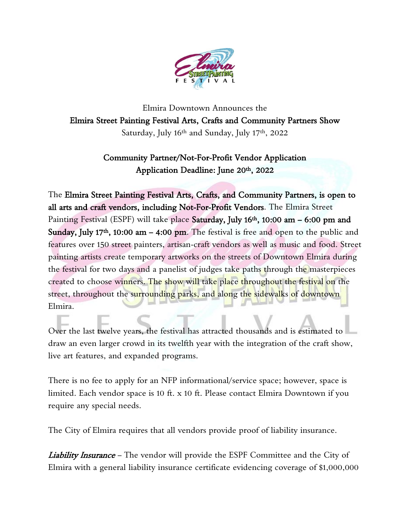

Elmira Downtown Announces the Elmira Street Painting Festival Arts, Crafts and Community Partners Show Saturday, July 16th and Sunday, July 17th, 2022

## Community Partner/Not-For-Profit Vendor Application Application Deadline: June 20th, 2022

The Elmira Street Painting Festival Arts, Crafts, and Community Partners, is open to all arts and craft vendors, including Not-For-Profit Vendors. The Elmira Street Painting Festival (ESPF) will take place Saturday, July 16<sup>th</sup>, 10:00 am – 6:00 pm and Sunday, July 17<sup>th</sup>, 10:00 am  $-$  4:00 pm. The festival is free and open to the public and features over 150 street painters, artisan-craft vendors as well as music and food. Street painting artists create temporary artworks on the streets of Downtown Elmira during the festival for two days and a panelist of judges take paths through the masterpieces created to choose winners. The show will take place throughout the festival on the street, throughout the surrounding parks, and along the sidewalks of downtown Elmira.

Over the last twelve years, the festival has attracted thousands and is estimated to draw an even larger crowd in its twelfth year with the integration of the craft show, live art features, and expanded programs.

There is no fee to apply for an NFP informational/service space; however, space is limited. Each vendor space is 10 ft. x 10 ft. Please contact Elmira Downtown if you require any special needs.

The City of Elmira requires that all vendors provide proof of liability insurance.

Liability Insurance - The vendor will provide the ESPF Committee and the City of Elmira with a general liability insurance certificate evidencing coverage of \$1,000,000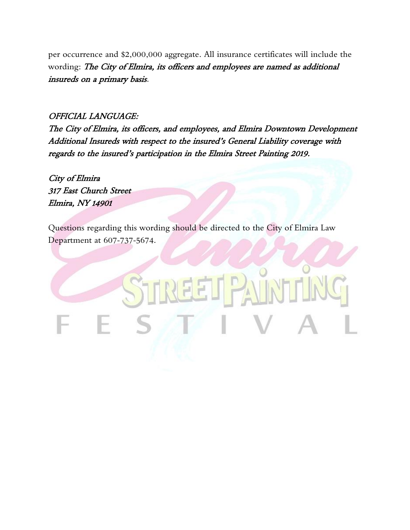per occurrence and \$2,000,000 aggregate. All insurance certificates will include the wording: The City of Elmira, its officers and employees are named as additional insureds on a primary basis.

#### OFFICIAL LANGUAGE:

The City of Elmira, its officers, and employees, and Elmira Downtown Development Additional Insureds with respect to the insured's General Liability coverage with regards to the insured's participation in the Elmira Street Painting 2019.

City of Elmira 317 East Church Street Elmira, NY 14901

Questions regarding this wording should be directed to the City of Elmira Law Department at 607-737-5674.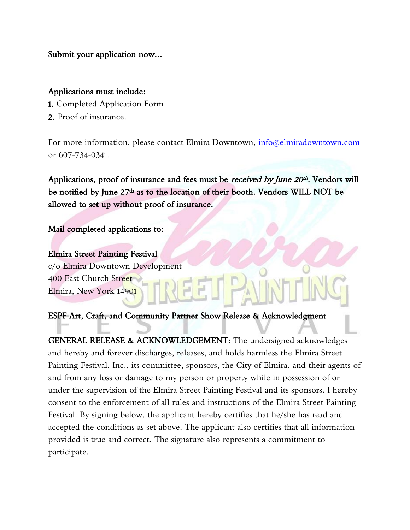Submit your application now…

#### Applications must include:

- 1. Completed Application Form
- 2. Proof of insurance.

For more information, please contact Elmira Downtown, [info@elmiradowntown.com](mailto:info@elmiradowntown.com) or 607-734-0341.

Applications, proof of insurance and fees must be *received by June 20<sup>th</sup>*. Vendors will be notified by June 27<sup>th</sup> as to the location of their booth. Vendors WILL NOT be allowed to set up without proof of insurance.

### Mail completed applications to:

Elmira Street Painting Festival c/o Elmira Downtown Development 400 East Church Street Elmira, New York 14901

### ESPF Art, Craft, and Community Partner Show Release & Acknowledgment

GENERAL RELEASE & ACKNOWLEDGEMENT: The undersigned acknowledges and hereby and forever discharges, releases, and holds harmless the Elmira Street Painting Festival, Inc., its committee, sponsors, the City of Elmira, and their agents of and from any loss or damage to my person or property while in possession of or under the supervision of the Elmira Street Painting Festival and its sponsors. I hereby consent to the enforcement of all rules and instructions of the Elmira Street Painting Festival. By signing below, the applicant hereby certifies that he/she has read and accepted the conditions as set above. The applicant also certifies that all information provided is true and correct. The signature also represents a commitment to participate.